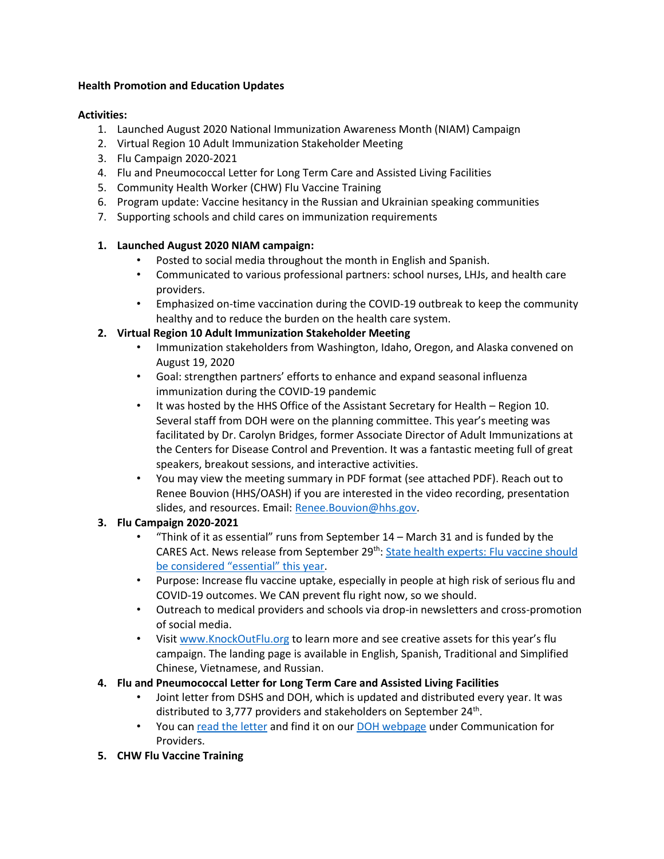#### **Health Promotion and Education Updates**

#### **Activities:**

- 1. Launched August 2020 National Immunization Awareness Month (NIAM) Campaign
- 2. Virtual Region 10 Adult Immunization Stakeholder Meeting
- 3. Flu Campaign 2020-2021
- 4. Flu and Pneumococcal Letter for Long Term Care and Assisted Living Facilities
- 5. Community Health Worker (CHW) Flu Vaccine Training
- 6. Program update: Vaccine hesitancy in the Russian and Ukrainian speaking communities
- 7. Supporting schools and child cares on immunization requirements

## **1. Launched August 2020 NIAM campaign:**

- Posted to social media throughout the month in English and Spanish.
- Communicated to various professional partners: school nurses, LHJs, and health care providers.
- Emphasized on-time vaccination during the COVID-19 outbreak to keep the community healthy and to reduce the burden on the health care system.

## **2. Virtual Region 10 Adult Immunization Stakeholder Meeting**

- Immunization stakeholders from Washington, Idaho, Oregon, and Alaska convened on August 19, 2020
- Goal: strengthen partners' efforts to enhance and expand seasonal influenza immunization during the COVID-19 pandemic
- It was hosted by the HHS Office of the Assistant Secretary for Health Region 10. Several staff from DOH were on the planning committee. This year's meeting was facilitated by Dr. Carolyn Bridges, former Associate Director of Adult Immunizations at the Centers for Disease Control and Prevention. It was a fantastic meeting full of great speakers, breakout sessions, and interactive activities.
- You may view the meeting summary in PDF format (see attached PDF). Reach out to Renee Bouvion (HHS/OASH) if you are interested in the video recording, presentation slides, and resources. Email: [Renee.Bouvion@hhs.gov.](mailto:Renee.Bouvion@hhs.gov)

## **3. Flu Campaign 2020-2021**

- "Think of it as essential" runs from September 14 March 31 and is funded by the CARES Act. News release from September 29th: [State health experts: Flu vaccine should](https://www.doh.wa.gov/Newsroom/Articles/ID/2394/State-health-experts-Flu-vaccine-should-be-considered-essential-this-year)  be consider[ed "essential" this year](https://www.doh.wa.gov/Newsroom/Articles/ID/2394/State-health-experts-Flu-vaccine-should-be-considered-essential-this-year).
- Purpose: Increase flu vaccine uptake, especially in people at high risk of serious flu and COVID-19 outcomes. We CAN prevent flu right now, so we should.
- Outreach to medical providers and schools via drop-in newsletters and cross-promotion of social media.
- Visit [www.KnockOutFlu.org](http://www.knockoutflu.org/) to learn more and see creative assets for this year's flu campaign. The landing page is available in English, Spanish, Traditional and Simplified Chinese, Vietnamese, and Russian.

## **4. Flu and Pneumococcal Letter for Long Term Care and Assisted Living Facilities**

- Joint letter from DSHS and DOH, which is updated and distributed every year. It was distributed to 3,777 providers and stakeholders on September 24<sup>th</sup>.
- You ca[n read the letter](https://www.dshs.wa.gov/sites/default/files/ALTSA/rcs/documents/multiple/020-09-25-1.pdf.) and find it on our [DOH webpage](https://www.doh.wa.gov/ForPublicHealthandHealthcareProviders/PublicHealthSystemResourcesandServices/Immunization/InfluenzaFluInformation) under Communication for Providers.
- **5. CHW Flu Vaccine Training**